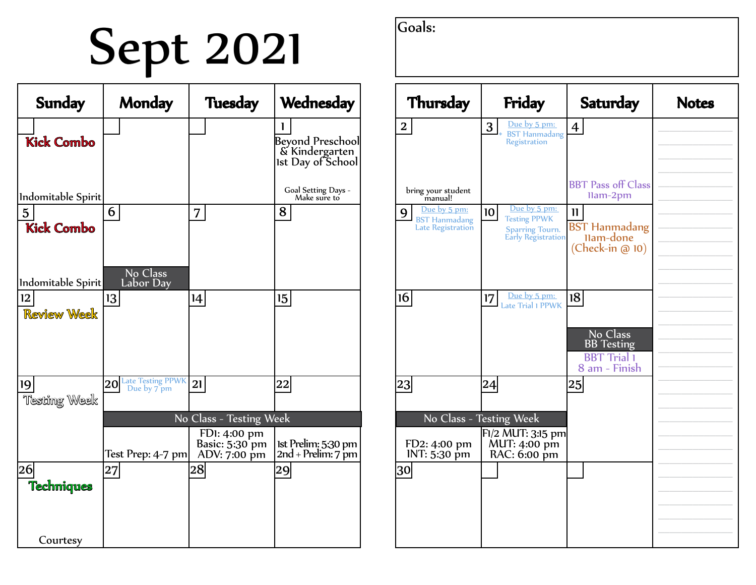## Sept 2021

| <b>Sunday</b>                       | <b>Monday</b>                       | <b>Tuesday</b>                                 | Wednesday                                                               |
|-------------------------------------|-------------------------------------|------------------------------------------------|-------------------------------------------------------------------------|
| <b>Kick Combo</b>                   |                                     |                                                | $\mathbf{I}$<br>Beyond Preschool<br>& Kindergarten<br>Ist Day of School |
| Indomitable Spirit                  |                                     |                                                | Goal Setting Days -<br>Make sure to                                     |
| $\overline{5}$<br><b>Kick Combo</b> | 6                                   | 7                                              | 8                                                                       |
| Indomitable Spirit                  | No Class<br>Labor Day               |                                                |                                                                         |
| $12 \,$<br><b>Review Week</b>       | 13                                  | 14                                             | 15                                                                      |
| 19<br>Testing Week                  | 20 Late Testing PPWK<br>Due by 7 pm | 21                                             | 22                                                                      |
|                                     |                                     | No Class - Testing Week                        |                                                                         |
|                                     | Test Prep: 4-7 pm                   | FDI: 4:00 pm<br>Basic: 5:30 pm<br>ADV: 7:00 pm | Ist Prelim: 5:30 pm<br>$2nd + Prelim: 7$ pm                             |
| 26<br><b>Techniques</b>             | 27                                  | 28                                             | 29                                                                      |
| Courtesy                            |                                     |                                                |                                                                         |

| Thursday                                                       | Friday                                                                                                            | <b>Saturday</b>                                                        | <b>Notes</b> |
|----------------------------------------------------------------|-------------------------------------------------------------------------------------------------------------------|------------------------------------------------------------------------|--------------|
| $\mathbf{2}$                                                   | Due by 5 pm:<br>3 <sup>1</sup><br><b>BST Hanmadang</b><br>Registration                                            | $\overline{\mathbf{4}}$                                                |              |
| bring your student<br>manual!                                  |                                                                                                                   | <b>BBT Pass off Class</b><br>Ilam-2pm                                  |              |
| Due by 5 pm:<br>9<br><b>BST Hanmadang</b><br>Late Registration | Due by $5 \text{ pm}$ :<br>10 <sub>1</sub><br><b>Testing PPWK</b><br><b>Sparring Tourn.</b><br>Early Registration | $\mathbf{1}$<br><b>BST Hanmadang</b><br>Ilam-done<br>$(Check-in @10))$ |              |
| 16                                                             | Due by 5 pm:<br>17 <sup>17</sup><br>Late Trial 1 PPWK                                                             | 18                                                                     |              |
|                                                                |                                                                                                                   | No Class<br><b>BB</b> Testing<br><b>BBT</b> Trial 1<br>8 am - Finish   |              |
| $23\vert$                                                      | 24                                                                                                                | 25                                                                     |              |
| FD2: 4:00 pm<br>INT: 5:30 pm                                   | No Class - Testing Week<br>F1/2 MUT: 3:15 pm<br>MUT: 4:00 pm<br>RAC: 6:00 pm                                      |                                                                        |              |
| 30                                                             |                                                                                                                   |                                                                        |              |
|                                                                |                                                                                                                   |                                                                        |              |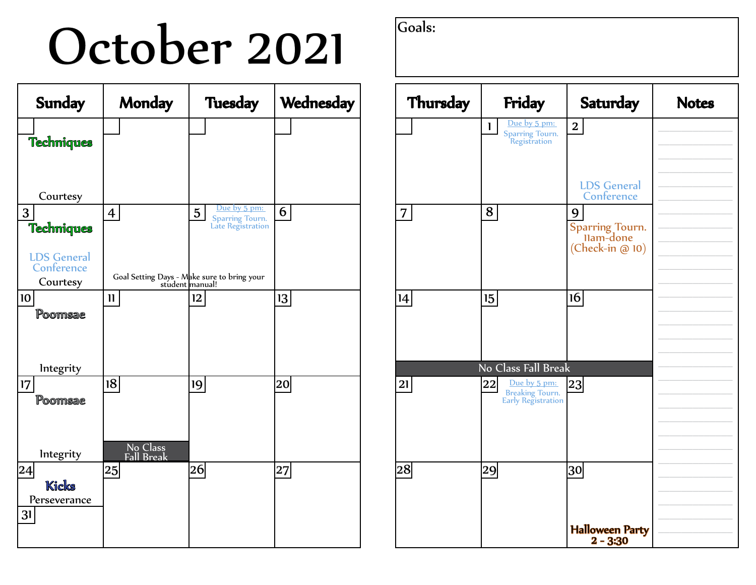### October 2021

| <b>Sunday</b>                                | <b>Monday</b>           | <b>Tuesday</b>                                                 | Wednesday |
|----------------------------------------------|-------------------------|----------------------------------------------------------------|-----------|
| <b>Techniques</b>                            |                         |                                                                |           |
| Courtesy<br>3                                |                         | <u>Due by 5 pm:</u><br>$\overline{5}$                          | 6         |
| <b>Techniques</b>                            | $\overline{\mathbf{4}}$ | Sparring Tourn.<br>Late Registration                           |           |
| <b>LDS</b> General<br>Conference<br>Courtesy |                         | Goal Setting Days - Make sure to bring your<br>student manual! |           |
| 10<br>Poomsae                                | $\mathbf{11}$           | 12                                                             | 13        |
| Integrity                                    |                         |                                                                |           |
| $17 \,$<br>Poomsae                           | 18                      | 19                                                             | 20        |
| Integrity                                    | No Class<br>Fall Break  |                                                                |           |
| 24 <br><b>Kicks</b>                          | 25                      | 26                                                             | 27        |
| Perseverance<br>31                           |                         |                                                                |           |

| Thursday | Friday                                                          | <b>Saturday</b>                         | <b>Notes</b> |
|----------|-----------------------------------------------------------------|-----------------------------------------|--------------|
|          | Due by 5 pm:<br>$\mathbf{I}$<br>Sparring Tourn.<br>Registration | $\mathbf{2}$                            |              |
|          |                                                                 |                                         |              |
|          |                                                                 | <b>LDS</b> General<br>Conference        |              |
| 7        | 8                                                               | 9<br>Sparring Tourn.<br>(Check-in @ 10) |              |
|          |                                                                 |                                         |              |
| 14       | 15                                                              | 16                                      |              |
|          |                                                                 |                                         |              |
|          | No Class Fall Break                                             |                                         |              |
| 21       | Due by 5 pm:<br>22<br>Breaking Tourn.<br>Early Registration     | 23                                      |              |
|          |                                                                 |                                         |              |
|          |                                                                 |                                         |              |
| 28       | 29                                                              | 30                                      |              |
|          |                                                                 |                                         |              |
|          |                                                                 | <b>Halloween Party</b><br>$2 - 3:30$    |              |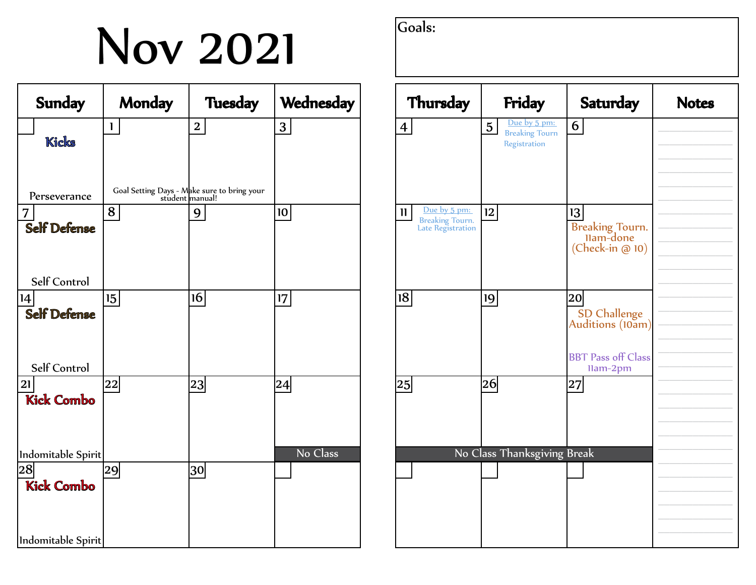### **Nov 2021**

| Sunday                                         | <b>Monday</b>                                                  | <b>Tuesday</b> | Wednesday |
|------------------------------------------------|----------------------------------------------------------------|----------------|-----------|
| <b>Kicks</b>                                   | 1                                                              | $\mathbf 2$    | 3         |
| Perseverance                                   | Goal Setting Days - Make sure to bring your<br>student manual! |                |           |
| 7<br><b>Self Defense</b>                       | 8                                                              | 9              | 10        |
| Self Control                                   |                                                                |                |           |
| 14<br>Self Defense                             | 15                                                             | 16             | 17        |
| Self Control<br>21<br><b>Kick Combo</b>        | 22                                                             | 23             | 24        |
| Indomitable Spirit<br>28 <br><b>Kick Combo</b> | 29                                                             | 30             | No Class  |
| Indomitable Spirit                             |                                                                |                |           |

| Thursday                                                                    | Friday                                                                  | Saturday                                                                         | <b>Notes</b> |
|-----------------------------------------------------------------------------|-------------------------------------------------------------------------|----------------------------------------------------------------------------------|--------------|
| $\overline{\mathbf{4}}$                                                     | Due by 5 pm:<br>5 <sub>5</sub><br><b>Breaking Tourn</b><br>Registration | 6                                                                                |              |
| Due by 5 pm:<br>$\mathbf{u}$<br><b>Breaking Tourn.</b><br>Late Registration | 12                                                                      | 13<br>Breaking Tourn.<br>Ilam-done<br>(Check-in @ 10)                            |              |
| 18                                                                          | 19                                                                      | 20 <br>SD Challenge<br>Auditions (10am)<br><b>BBT Pass off Class</b><br>Ilam-2pm |              |
| 25                                                                          | 26                                                                      | 27                                                                               |              |
|                                                                             | No Class Thanksgiving Break                                             |                                                                                  |              |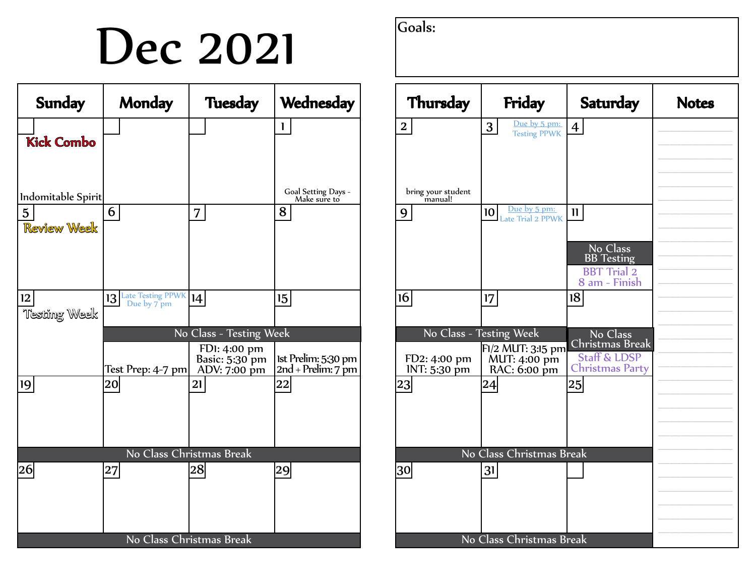### Dec 2021

| <b>Sunday</b>                           | Monday                                     | <b>Tuesday</b>                                 | Wednesday                                   |  |
|-----------------------------------------|--------------------------------------------|------------------------------------------------|---------------------------------------------|--|
| <b>Kick Combo</b>                       |                                            |                                                | 1                                           |  |
| Indomitable Spirit<br>$\overline{5}$    | 6                                          | 7                                              | Goal Setting Days -<br>Make sure to<br>8    |  |
| <b>Review Week</b>                      |                                            |                                                |                                             |  |
| 12 <sub>12</sub><br><b>Testing Week</b> | <b>13</b> Late Testing PPWK<br>Due by 7 pm | 14                                             | 15                                          |  |
|                                         |                                            | No Class - Testing Week                        |                                             |  |
|                                         | Test Prep: 4-7 pm                          | FDI: 4:00 pm<br>Basic: 5:30 pm<br>ADV: 7:00 pm | Ist Prelim: 5:30 pm<br>$2nd + Prelim: 7 pm$ |  |
| 19                                      | 20                                         | 21                                             | 22                                          |  |
|                                         |                                            |                                                |                                             |  |
| No Class Christmas Break                |                                            |                                                |                                             |  |
| 26                                      | 27                                         | 28                                             | 29                                          |  |
|                                         |                                            |                                                |                                             |  |
| No Class Christmas Break                |                                            |                                                |                                             |  |

| Thursday                     | Friday                                                | <b>Saturday</b>                                   | <b>Notes</b> |
|------------------------------|-------------------------------------------------------|---------------------------------------------------|--------------|
| $\mathbf{2}$                 | Due by 5 pm:<br>3 <sup>1</sup><br><b>Testing PPWK</b> | $\overline{\mathbf{4}}$                           |              |
|                              |                                                       |                                                   |              |
| bring your student           |                                                       |                                                   |              |
| manual!<br>9                 | Due by 5 pm:<br> 10 <br>Late Trial 2 PPWK             | $\mathbf{u}$                                      |              |
|                              |                                                       | No Class                                          |              |
|                              |                                                       | <b>BB</b> Testing<br><b>BBT Trial 2</b>           |              |
| 16                           | 17                                                    | 8 am - Finish<br>18                               |              |
|                              |                                                       |                                                   |              |
|                              | No Class - Testing Week<br>F1/2 MUT: 3:15 pm          | No Class<br>Christmas Break                       |              |
| FD2: 4:00 pm<br>INT: 5:30 pm | MUT: 4:00 pm<br>RAC: 6:00 pm                          | <b>Staff &amp; LDSP</b><br><b>Christmas Party</b> |              |
| 23                           | 24                                                    | 25                                                |              |
|                              |                                                       |                                                   |              |
|                              | No Class Christmas Break                              |                                                   |              |
| 30                           | 3 <sup>1</sup>                                        |                                                   |              |
|                              |                                                       |                                                   |              |
|                              |                                                       |                                                   |              |
|                              | No Class Christmas Break                              |                                                   |              |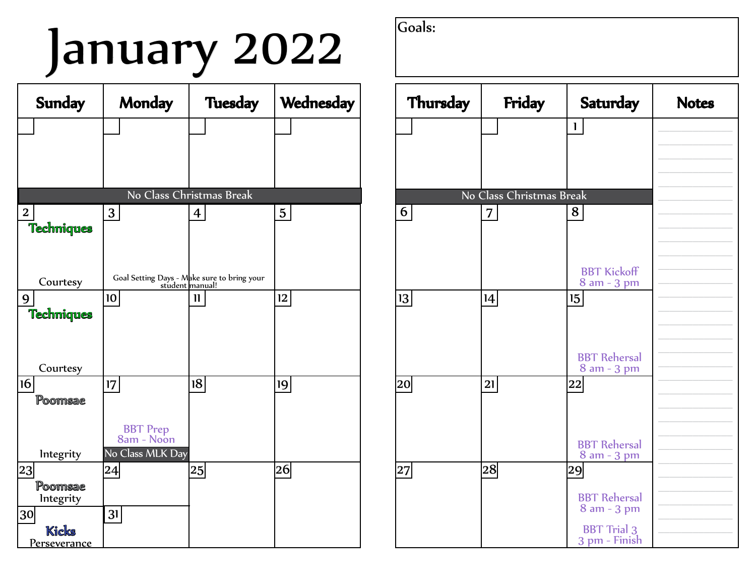### January 2022

| <b>Sunday</b>           | <b>Monday</b>                 | <b>Tuesday</b>                                                 | Wednesday      |
|-------------------------|-------------------------------|----------------------------------------------------------------|----------------|
|                         |                               |                                                                |                |
|                         |                               |                                                                |                |
|                         |                               |                                                                |                |
|                         |                               |                                                                |                |
|                         |                               | No Class Christmas Break                                       |                |
| $\overline{\mathbf{2}}$ | 3 <sup>1</sup>                | 4                                                              | $\overline{5}$ |
| Techniques              |                               |                                                                |                |
|                         |                               |                                                                |                |
|                         |                               |                                                                |                |
| Courtesy                |                               | Goal Setting Days - Make sure to bring your<br>student manual! |                |
| 9                       | 10                            | $\mathbf{1}$                                                   | 12             |
| <b>Techniques</b>       |                               |                                                                |                |
|                         |                               |                                                                |                |
|                         |                               |                                                                |                |
| Courtesy                |                               |                                                                |                |
| 16                      | 17                            | 18                                                             | 19             |
| Poomsae                 |                               |                                                                |                |
|                         |                               |                                                                |                |
|                         | <b>BBT</b> Prep<br>8am - Noon |                                                                |                |
| Integrity               | No Class MLK Day              |                                                                |                |
| $23\vert$               | $24 \vert$                    | 25                                                             | 26             |
| Poomsae                 |                               |                                                                |                |
| Integrity               |                               |                                                                |                |
| 30                      | 31                            |                                                                |                |
| Kicks                   |                               |                                                                |                |
| <u>Perseverance</u>     |                               |                                                                |                |

| Thursday  | Friday                        | <b>Saturday</b>                                | <b>Notes</b> |
|-----------|-------------------------------|------------------------------------------------|--------------|
|           |                               | $\mathbf{1}$                                   |              |
|           |                               |                                                |              |
|           |                               |                                                |              |
| 6         | No Class Christmas Break<br>7 | 8                                              |              |
|           |                               |                                                |              |
|           |                               |                                                |              |
|           |                               | <b>BBT Kickoff</b><br>8 am - 3 pm              |              |
| 13        | 14                            | 15                                             |              |
|           |                               |                                                |              |
|           |                               | <b>BBT Rehersal</b><br>8 am - 3 pm             |              |
| $20\vert$ | 21                            | 22                                             |              |
|           |                               |                                                |              |
|           |                               | <b>BBT Rehersal</b>                            |              |
| 27        | 28                            | 8 am - 3 pm<br>$\boldsymbol{29}$               |              |
|           |                               |                                                |              |
|           |                               | <b>BBT</b> Rehersal<br>8 am - 3 pm             |              |
|           |                               | <b>BBT</b> Trial <sub>2</sub><br>3 pm - Finish |              |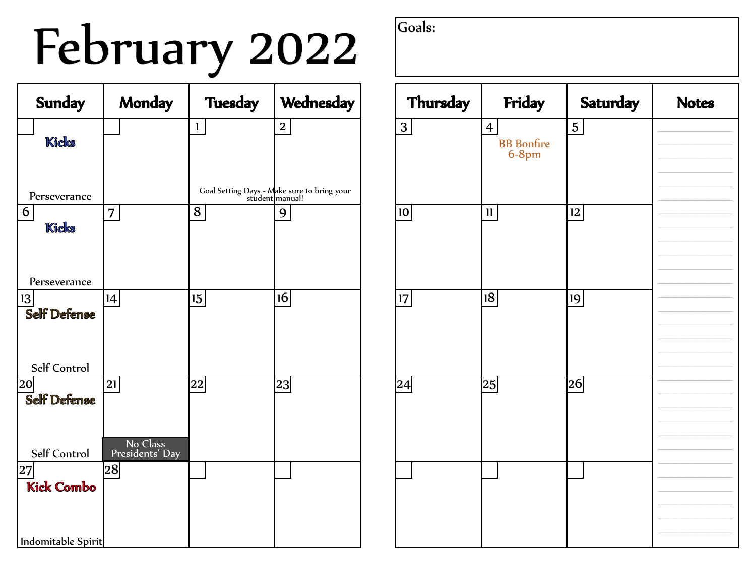## February 2022

| <b>Sunday</b>           | Monday                      | <b>Tuesday</b> | Wednesday                                                      |
|-------------------------|-----------------------------|----------------|----------------------------------------------------------------|
| Kicks                   |                             | 1              | $\mathbf 2$                                                    |
| Perseverance            |                             |                | Goal Setting Days - Make sure to bring your<br>student manual! |
| 6<br><b>Kicks</b>       | 7                           | 8              | 9                                                              |
| Perseverance            |                             |                |                                                                |
| 13<br>Self Defense      | 14                          | 15             | 16                                                             |
| Self Control            |                             |                |                                                                |
| 20 <br>Self Defense     | 21                          | 22             | 23                                                             |
| Self Control            | No Class<br>Presidents' Day |                |                                                                |
| 27<br><b>Kick Combo</b> | 28                          |                |                                                                |
| Indomitable Spirit      |                             |                |                                                                |

| Thursday                | Friday                                         | Saturday                | <b>Notes</b> |
|-------------------------|------------------------------------------------|-------------------------|--------------|
| $\overline{\mathbf{3}}$ | $\overline{4}$<br><b>BB</b> Bonfire<br>$6-8pm$ | $\overline{\mathbf{5}}$ |              |
| 10                      | $\mathbf{11}$                                  | $12 \,$                 |              |
| $17 \,$                 | 8                                              | <u>19</u>               |              |
| 24                      | $25\vert$                                      | 26                      |              |
|                         |                                                |                         |              |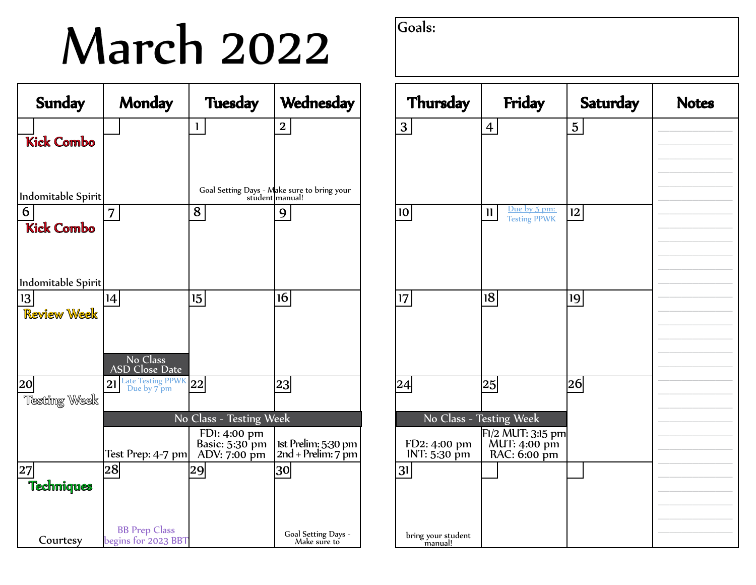### **March 2022**

| <b>Sunday</b>            | <b>Monday</b>                               | <b>Tuesday</b>                                                            | Wednesday                                                      |
|--------------------------|---------------------------------------------|---------------------------------------------------------------------------|----------------------------------------------------------------|
| <b>Kick Combo</b>        |                                             | $\mathbf{I}$                                                              | $\mathbf 2$                                                    |
| Indomitable Spirit<br>6  |                                             |                                                                           | Goal Setting Days - Make sure to bring your<br>student manual! |
| <b>Kick Combo</b>        | 7                                           | 8                                                                         | 9                                                              |
| Indomitable Spirit       |                                             |                                                                           |                                                                |
| 13<br><b>Review Week</b> | 14                                          | 15                                                                        | 16                                                             |
|                          | No Class<br><b>ASD Close Date</b>           |                                                                           |                                                                |
| 20<br>Testing Week       | 21 Late Testing PPWK<br>Due by 7 pm         | 22                                                                        | 23                                                             |
|                          |                                             | No Class - Testing Week<br>FDI: 4:00 pm<br>Basic: 5:30 pm<br>ADV: 7:00 pm | Ist Prelim: 5:30 pm<br>$2nd + Prelim: 7$ pm                    |
| 27<br><b>Techniques</b>  | Test Prep: 4-7 pm <br>28                    | 29                                                                        | 30                                                             |
| Courtesy                 | <b>BB Prep Class</b><br>begins for 2023 BBT |                                                                           | Goal Setting Days -<br>Make sure to                            |

| Thursday                           | Friday                                            | Saturday       | <b>Notes</b> |
|------------------------------------|---------------------------------------------------|----------------|--------------|
| $\mathbf{3}$                       | $\overline{4}$                                    | 5 <sub>5</sub> |              |
| 10                                 | Due by 5 pm:<br>$\mathbf{11}$                     | $12 \,$        |              |
|                                    | <b>Testing PPWK</b>                               |                |              |
| $17 \,$                            | 18                                                | 19             |              |
|                                    |                                                   |                |              |
| 24                                 | 25<br>No Class - Testing Week                     | $26\vert$      |              |
| FD2: 4:00 pm<br>INT: 5:30 pm<br>31 | F1/2 MUT: 3:15 pm<br>MUT: 4:00 pm<br>RAC: 6:00 pm |                |              |
|                                    |                                                   |                |              |
| bring your student<br>manual!      |                                                   |                |              |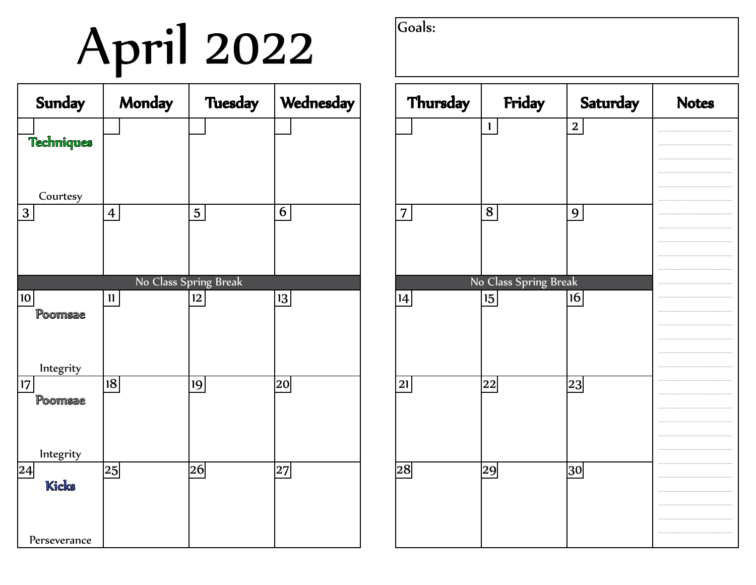## April 2022

| <b>Sunday</b>              | Monday                  | <b>Tuesday</b>          | Wednesday       |
|----------------------------|-------------------------|-------------------------|-----------------|
| <b>Techniques</b>          |                         |                         |                 |
| Courtesy<br>3              | $\overline{\mathbf{4}}$ | $\overline{\mathbf{5}}$ | 6               |
|                            |                         |                         |                 |
|                            |                         | No Class Spring Break   |                 |
| 10 <sub>1</sub><br>Poomsae | $\mathbf{11}$           | 12                      | 13              |
| Integrity                  | 8                       |                         |                 |
| 17<br>Poomsae              |                         | 9                       | 20 <sup>°</sup> |
| Integrity                  |                         |                         |                 |
| 24<br><b>Kicks</b>         | $25\vert$               | 26                      | 27              |
| Perseverance               |                         |                         |                 |

| Thursday        | Friday                | Saturday     | <b>Notes</b> |
|-----------------|-----------------------|--------------|--------------|
|                 | $\mathbf{I}$          | $\mathbf{2}$ |              |
|                 |                       |              |              |
|                 |                       |              |              |
| $\overline{7}$  | 8                     | 9            |              |
|                 |                       |              |              |
|                 |                       |              |              |
|                 | No Class Spring Break |              |              |
| $\vert 4 \vert$ | 15                    | 16           |              |
|                 |                       |              |              |
|                 |                       |              |              |
|                 |                       |              |              |
|                 |                       |              |              |
|                 |                       |              |              |
| 21              | 22                    | 23           |              |
|                 |                       |              |              |
|                 |                       |              |              |
|                 |                       |              |              |
|                 |                       |              |              |
| $\bm{28}$       |                       |              |              |
|                 | 29                    | 30           |              |
|                 |                       |              |              |
|                 |                       |              |              |
|                 |                       |              |              |
|                 |                       |              |              |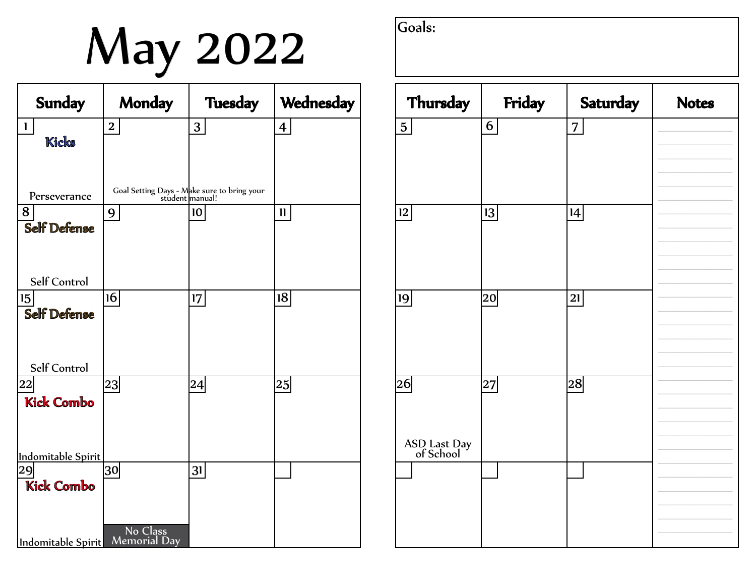## May 2022

| <b>Sunday</b>           | <b>Monday</b>       | <b>Tuesday</b>                                                 | Wednesday               |
|-------------------------|---------------------|----------------------------------------------------------------|-------------------------|
| $\mathbf{I}$            | $\mathbf 2$         | 3                                                              | $\overline{\mathbf{4}}$ |
| <b>Kicks</b>            |                     |                                                                |                         |
|                         |                     |                                                                |                         |
|                         |                     |                                                                |                         |
| Perseverance            |                     | Goal Setting Days - Make sure to bring your<br>student manual! |                         |
| 8                       | 9                   | 10                                                             | $\mathbf{11}$           |
| Self Defense            |                     |                                                                |                         |
|                         |                     |                                                                |                         |
|                         |                     |                                                                |                         |
| Self Control            |                     |                                                                |                         |
| 15                      | 16                  | 17                                                             | 18                      |
| Self Defense            |                     |                                                                |                         |
|                         |                     |                                                                |                         |
|                         |                     |                                                                |                         |
| Self Control            |                     |                                                                |                         |
| $22\vert$               | 23                  | 24                                                             | $25\vert$               |
| <b>Kick Combo</b>       |                     |                                                                |                         |
|                         |                     |                                                                |                         |
|                         |                     |                                                                |                         |
| Indomitable Spirit      |                     |                                                                |                         |
| 29<br><b>Kick Combo</b> | 30                  | 31                                                             |                         |
|                         |                     |                                                                |                         |
|                         |                     |                                                                |                         |
|                         | No Class            |                                                                |                         |
| Indomitable Spirit      | <b>Memorial Day</b> |                                                                |                         |

| Thursday                        | Friday     | Saturday       | <b>Notes</b> |
|---------------------------------|------------|----------------|--------------|
| 5 <sup>1</sup>                  | $6 \mid$   | $\overline{7}$ |              |
| 2                               | 3          | 4              |              |
| 19                              | $20 \vert$ | 21             |              |
| 26<br>ASD Last Day<br>of School | $27\,$     | 28             |              |
|                                 |            |                |              |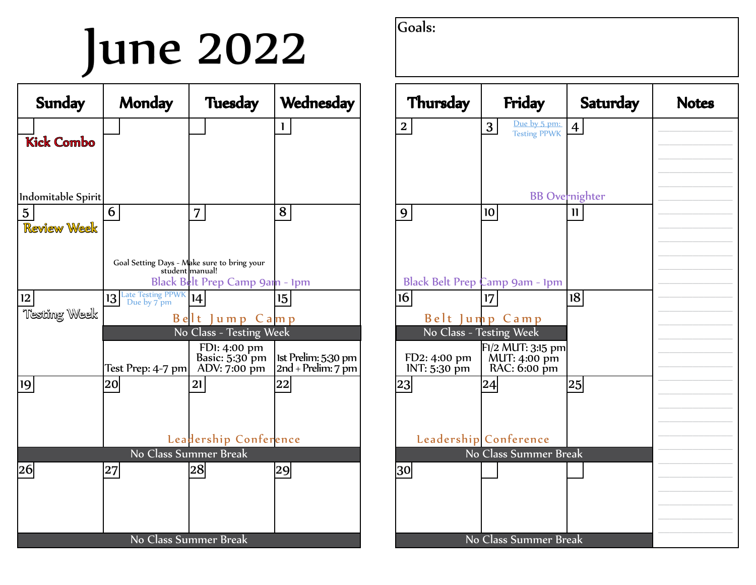### June 2022

| <b>Sunday</b>                        | <b>Monday</b>                       | <b>Tuesday</b>                                                                                         | Wednesday                                   |
|--------------------------------------|-------------------------------------|--------------------------------------------------------------------------------------------------------|---------------------------------------------|
| <b>Kick Combo</b>                    |                                     |                                                                                                        | 1                                           |
| Indomitable Spirit<br>$\overline{5}$ | 6                                   | 7                                                                                                      | 8                                           |
| Review Week                          |                                     |                                                                                                        |                                             |
| 12                                   | 13 Late Testing PPWK<br>Due by 7 pm | Goal Setting Days - Make sure to bring your<br>student manual!<br>Black Belt Prep Camp 9am - 1pm<br>14 | 15                                          |
| Testing Week                         | Belt                                | Jump Camp<br>No Class - Testing Week                                                                   |                                             |
|                                      | Test Prep: 4-7 pm                   | FDI: 4:00 pm<br>Basic: 5:30 pm<br>ADV: 7:00 pm                                                         | Ist Prelim: 5:30 pm<br>$2nd + Prelim: 7$ pm |
| 19                                   | 20                                  | 21                                                                                                     | 22                                          |
|                                      |                                     | Leadership Conference<br>No Class Summer Break                                                         |                                             |
| 26                                   | 27                                  | 28                                                                                                     | 29                                          |
|                                      |                                     |                                                                                                        |                                             |
| No Class Summer Break                |                                     |                                                                                                        |                                             |

| <b>Thursday</b>         | Friday                                                | <b>Saturday</b>         | <b>Notes</b> |
|-------------------------|-------------------------------------------------------|-------------------------|--------------|
| $\overline{\mathbf{2}}$ | Due by 5 pm:<br>3 <sup>1</sup><br><b>Testing PPWK</b> | $\overline{\mathbf{4}}$ |              |
|                         |                                                       |                         |              |
|                         |                                                       |                         |              |
|                         |                                                       | <b>BB</b> Overnighter   |              |
| 9                       | 10                                                    | 11                      |              |
|                         |                                                       |                         |              |
|                         |                                                       |                         |              |
|                         | Black Belt Prep Camp 9am - 1pm                        |                         |              |
| 16                      | 17                                                    | 18                      |              |
|                         | Belt Jump Camp                                        |                         |              |
|                         | No Class - Testing Week                               |                         |              |
| FD2: 4:00 pm            | F1/2 MUT: 3:15 pm<br>MUT: 4:00 pm                     |                         |              |
| INT: 5:30 pm<br>23      | RAC: 6:00 pm<br>24                                    | $25\vert$               |              |
|                         |                                                       |                         |              |
|                         |                                                       |                         |              |
|                         | Leadership Conference                                 |                         |              |
|                         | No Class Summer Break                                 |                         |              |
| 30                      |                                                       |                         |              |
|                         |                                                       |                         |              |
|                         |                                                       |                         |              |
|                         | No Class Summer Break                                 |                         |              |
|                         |                                                       |                         |              |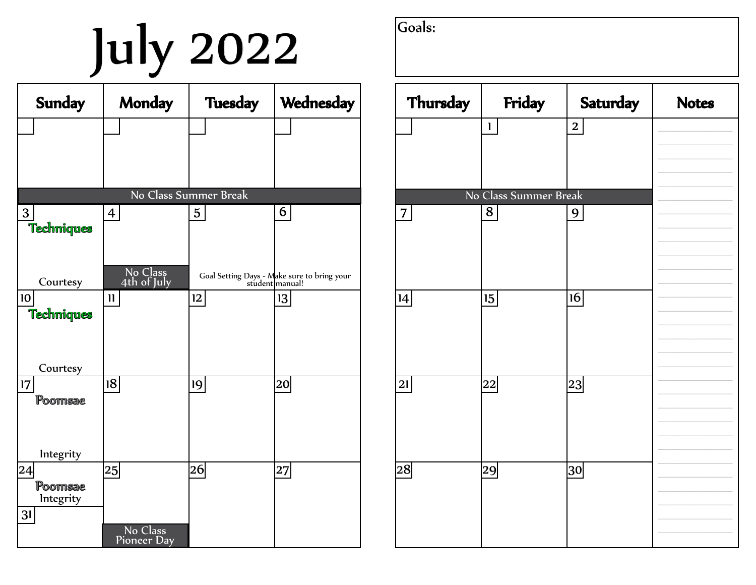# July 2022

| <b>Sunday</b>        | <b>Monday</b>                  | <b>Tuesday</b>        | Wednesday                                                      |
|----------------------|--------------------------------|-----------------------|----------------------------------------------------------------|
|                      |                                |                       |                                                                |
|                      |                                |                       |                                                                |
|                      |                                |                       |                                                                |
|                      |                                | No Class Summer Break |                                                                |
| 3                    | $\overline{\mathbf{4}}$        | 5                     | 6                                                              |
| <b>Techniques</b>    |                                |                       |                                                                |
|                      |                                |                       |                                                                |
| Courtesy             | No Class<br>4th of July        |                       | Goal Setting Days - Make sure to bring your<br>student manual! |
| 10                   | $\mathbf l$                    | $12\phantom{.0}$      | 13                                                             |
| <b>Techniques</b>    |                                |                       |                                                                |
|                      |                                |                       |                                                                |
| Courtesy             |                                |                       |                                                                |
| $17 \,$              | 18                             | 19                    | 20                                                             |
| Poomsae              |                                |                       |                                                                |
|                      |                                |                       |                                                                |
| Integrity            |                                |                       |                                                                |
| 24                   | $25\vert$                      | 26                    | 27                                                             |
| Poomsae<br>Integrity |                                |                       |                                                                |
| 31                   |                                |                       |                                                                |
|                      | No Class<br><b>Pioneer Day</b> |                       |                                                                |

| Thursday       | Friday                | Saturday     | <b>Notes</b> |
|----------------|-----------------------|--------------|--------------|
|                | $\mathbf{I}$          | $\mathbf{2}$ |              |
|                |                       |              |              |
|                |                       |              |              |
|                | No Class Summer Break |              |              |
| $\overline{7}$ | 8                     | 9            |              |
|                |                       |              |              |
|                |                       |              |              |
|                |                       |              |              |
|                |                       |              |              |
|                |                       |              |              |
| 4              | 15                    | 16           |              |
|                |                       |              |              |
|                |                       |              |              |
|                |                       |              |              |
|                |                       |              |              |
|                |                       |              |              |
| 21             | $\boldsymbol{22}$     | 23           |              |
|                |                       |              |              |
|                |                       |              |              |
|                |                       |              |              |
|                |                       |              |              |
|                |                       |              |              |
| $28\vert$      | 29                    | 30           |              |
|                |                       |              |              |
|                |                       |              |              |
|                |                       |              |              |
|                |                       |              |              |
|                |                       |              |              |
|                |                       |              |              |